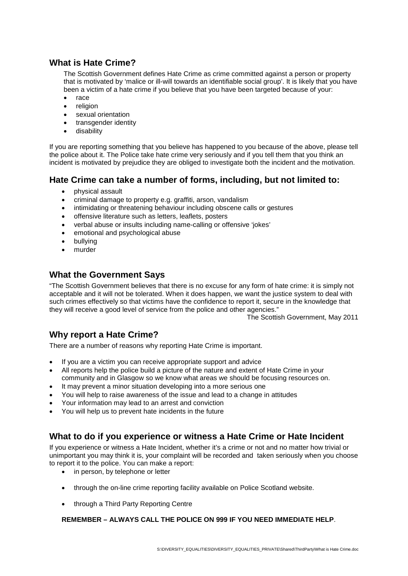## **What is Hate Crime?**

The Scottish Government defines Hate Crime as crime committed against a person or property that is motivated by 'malice or ill-will towards an identifiable social group'. It is likely that you have been a victim of a hate crime if you believe that you have been targeted because of your:

- race
- religion
- sexual orientation
- transgender identity
- disability

If you are reporting something that you believe has happened to you because of the above, please tell the police about it. The Police take hate crime very seriously and if you tell them that you think an incident is motivated by prejudice they are obliged to investigate both the incident and the motivation.

### **Hate Crime can take a number of forms, including, but not limited to:**

- physical assault
- criminal damage to property e.g. graffiti, arson, vandalism
- intimidating or threatening behaviour including obscene calls or gestures
- offensive literature such as letters, leaflets, posters
- verbal abuse or insults including name-calling or offensive 'jokes'
- emotional and psychological abuse
- bullying
- murder

# **What the Government Says**

"The Scottish Government believes that there is no excuse for any form of hate crime: it is simply not acceptable and it will not be tolerated. When it does happen, we want the justice system to deal with such crimes effectively so that victims have the confidence to report it, secure in the knowledge that they will receive a good level of service from the police and other agencies."

The Scottish Government, May 2011

# **Why report a Hate Crime?**

There are a number of reasons why reporting Hate Crime is important.

- If you are a victim you can receive appropriate support and advice
- All reports help the police build a picture of the nature and extent of Hate Crime in your community and in Glasgow so we know what areas we should be focusing resources on.
- It may prevent a minor situation developing into a more serious one
- You will help to raise awareness of the issue and lead to a change in attitudes
- Your information may lead to an arrest and conviction
- You will help us to prevent hate incidents in the future

## **What to do if you experience or witness a Hate Crime or Hate Incident**

If you experience or witness a Hate Incident, whether it's a crime or not and no matter how trivial or unimportant you may think it is, your complaint will be recorded and taken seriously when you choose to report it to the police. You can make a report:

- in person, by telephone or letter
- through the on-line crime reporting facility available on Police Scotland website.
- through a Third Party Reporting Centre

#### **REMEMBER – ALWAYS CALL THE POLICE ON 999 IF YOU NEED IMMEDIATE HELP**.